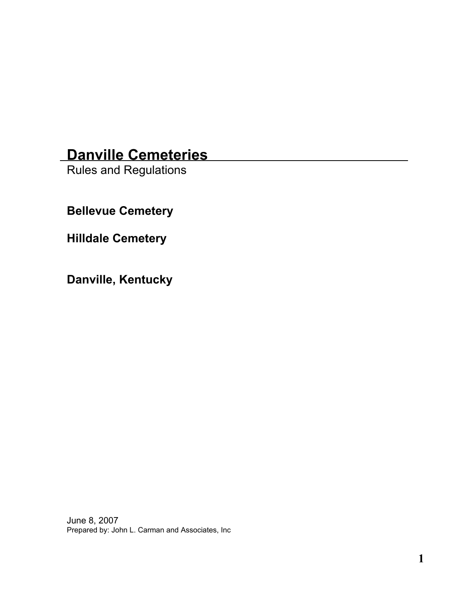# **Danville Cemeteries**

Rules and Regulations

**Bellevue Cemetery** 

**Hilldale Cemetery** 

**Danville, Kentucky** 

June 8, 2007 Prepared by: John L. Carman and Associates, Inc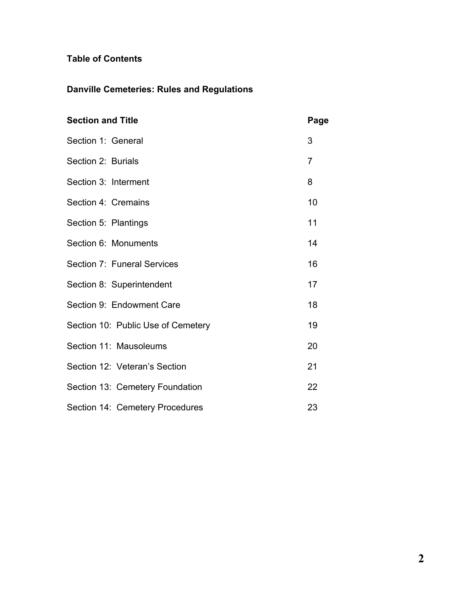### **Table of Contents**

## **Danville Cemeteries: Rules and Regulations**

| <b>Section and Title</b>           | Page           |
|------------------------------------|----------------|
| Section 1: General                 | 3              |
| Section 2: Burials                 | $\overline{7}$ |
| Section 3: Interment               | 8              |
| Section 4: Cremains                | 10             |
| Section 5: Plantings               | 11             |
| Section 6: Monuments               | 14             |
| Section 7: Funeral Services        | 16             |
| Section 8: Superintendent          | 17             |
| Section 9: Endowment Care          | 18             |
| Section 10: Public Use of Cemetery | 19             |
| Section 11: Mausoleums             | 20             |
| Section 12: Veteran's Section      | 21             |
| Section 13: Cemetery Foundation    | 22             |
| Section 14: Cemetery Procedures    | 23             |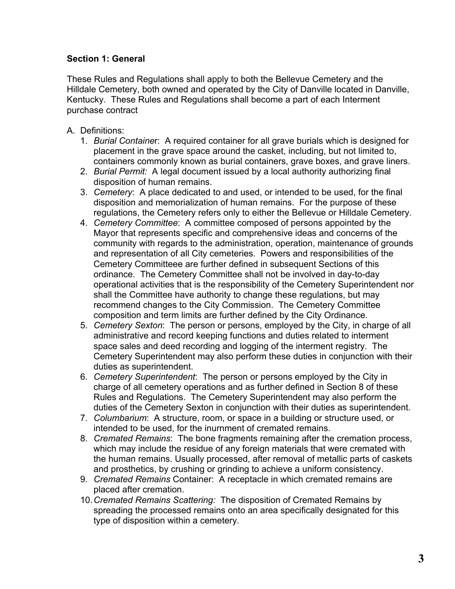#### **Section 1: General**

These Rules and Regulations shall apply to both the Bellevue Cemetery and the Hilldale Cemetery, both owned and operated by the City of Danville located in Danville, Kentucky. These Rules and Regulations shall become a part of each Interment purchase contract

- A. Definitions:
	- 1. *Burial Containe*r: A required container for all grave burials which is designed for placement in the grave space around the casket, including, but not limited to, containers commonly known as burial containers, grave boxes, and grave liners.
	- 2. *Burial Permit:* A legal document issued by a local authority authorizing final disposition of human remains.
	- 3. *Cemetery*: A place dedicated to and used, or intended to be used, for the final disposition and memorialization of human remains. For the purpose of these regulations, the Cemetery refers only to either the Bellevue or Hilldale Cemetery.
	- 4. *Cemetery Committee*: A committee composed of persons appointed by the Mayor that represents specific and comprehensive ideas and concerns of the community with regards to the administration, operation, maintenance of grounds and representation of all City cemeteries. Powers and responsibilities of the Cemetery Committeee are further defined in subsequent Sections of this ordinance. The Cemetery Committee shall not be involved in day-to-day operational activities that is the responsibility of the Cemetery Superintendent nor shall the Committee have authority to change these regulations, but may recommend changes to the City Commission. The Cemetery Committee composition and term limits are further defined by the City Ordinance.
	- 5. *Cemetery Sexton*: The person or persons, employed by the City, in charge of all administrative and record keeping functions and duties related to interment space sales and deed recording and logging of the interment registry. The Cemetery Superintendent may also perform these duties in conjunction with their duties as superintendent.
	- 6. *Cemetery Superintendent*: The person or persons employed by the City in charge of all cemetery operations and as further defined in Section 8 of these Rules and Regulations. The Cemetery Superintendent may also perform the duties of the Cemetery Sexton in conjunction with their duties as superintendent.
	- 7. *Columbarium*: A structure, room, or space in a building or structure used, or intended to be used, for the inurnment of cremated remains.
	- 8. *Cremated Remains*: The bone fragments remaining after the cremation process, which may include the residue of any foreign materials that were cremated with the human remains. Usually processed, after removal of metallic parts of caskets and prosthetics, by crushing or grinding to achieve a uniform consistency.
	- 9. *Cremated Remains* Container: A receptacle in which cremated remains are placed after cremation.
	- 10. *Cremated Remains Scattering:* The disposition of Cremated Remains by spreading the processed remains onto an area specifically designated for this type of disposition within a cemetery.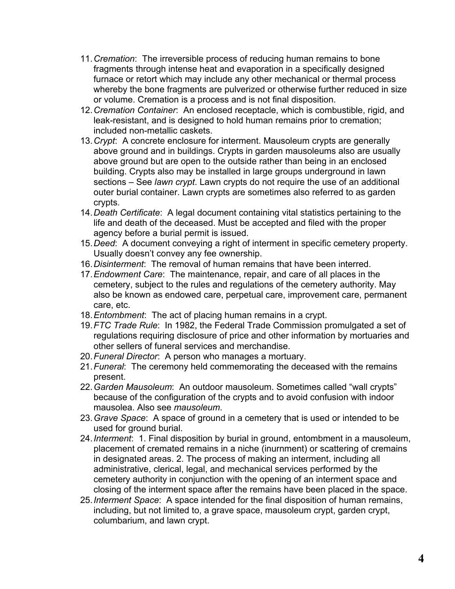- 11. *Cremation*: The irreversible process of reducing human remains to bone fragments through intense heat and evaporation in a specifically designed furnace or retort which may include any other mechanical or thermal process whereby the bone fragments are pulverized or otherwise further reduced in size or volume. Cremation is a process and is not final disposition.
- 12. *Cremation Container*: An enclosed receptacle, which is combustible, rigid, and leak-resistant, and is designed to hold human remains prior to cremation; included non-metallic caskets.
- 13. *Crypt*: A concrete enclosure for interment. Mausoleum crypts are generally above ground and in buildings. Crypts in garden mausoleums also are usually above ground but are open to the outside rather than being in an enclosed building. Crypts also may be installed in large groups underground in lawn sections – See *lawn crypt*. Lawn crypts do not require the use of an additional outer burial container. Lawn crypts are sometimes also referred to as garden crypts.
- 14. *Death Certificate*: A legal document containing vital statistics pertaining to the life and death of the deceased. Must be accepted and filed with the proper agency before a burial permit is issued.
- 15. *Deed*: A document conveying a right of interment in specific cemetery property. Usually doesn't convey any fee ownership.
- 16. *Disinterment*: The removal of human remains that have been interred.
- 17. *Endowment Care*: The maintenance, repair, and care of all places in the cemetery, subject to the rules and regulations of the cemetery authority. May also be known as endowed care, perpetual care, improvement care, permanent care, etc.
- 18. *Entombment*: The act of placing human remains in a crypt.
- 19. *FTC Trade Rule*: In 1982, the Federal Trade Commission promulgated a set of regulations requiring disclosure of price and other information by mortuaries and other sellers of funeral services and merchandise.
- 20. *Funeral Director*: A person who manages a mortuary.
- 21. *Funeral*: The ceremony held commemorating the deceased with the remains present.
- 22. *Garden Mausoleum*: An outdoor mausoleum. Sometimes called "wall crypts" because of the configuration of the crypts and to avoid confusion with indoor mausolea. Also see *mausoleum*.
- 23. *Grave Space*: A space of ground in a cemetery that is used or intended to be used for ground burial.
- 24. *Interment*: 1. Final disposition by burial in ground, entombment in a mausoleum, placement of cremated remains in a niche (inurnment) or scattering of cremains in designated areas. 2. The process of making an interment, including all administrative, clerical, legal, and mechanical services performed by the cemetery authority in conjunction with the opening of an interment space and closing of the interment space after the remains have been placed in the space.
- 25. *Interment Space*: A space intended for the final disposition of human remains, including, but not limited to, a grave space, mausoleum crypt, garden crypt, columbarium, and lawn crypt.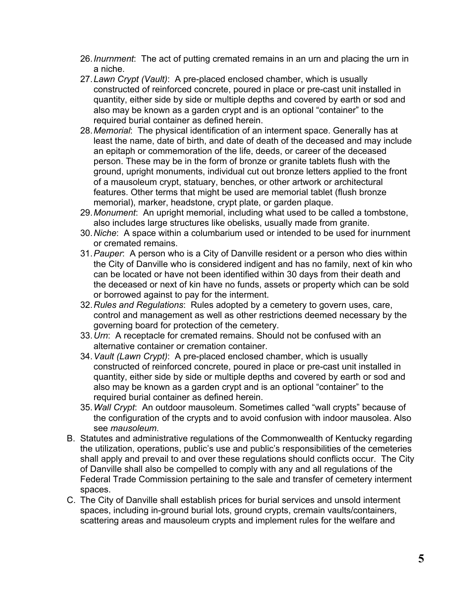- 26. *Inurnment*: The act of putting cremated remains in an urn and placing the urn in a niche.
- 27. *Lawn Crypt (Vault)*: A pre-placed enclosed chamber, which is usually constructed of reinforced concrete, poured in place or pre-cast unit installed in quantity, either side by side or multiple depths and covered by earth or sod and also may be known as a garden crypt and is an optional "container" to the required burial container as defined herein.
- 28. *Memorial*: The physical identification of an interment space. Generally has at least the name, date of birth, and date of death of the deceased and may include an epitaph or commemoration of the life, deeds, or career of the deceased person. These may be in the form of bronze or granite tablets flush with the ground, upright monuments, individual cut out bronze letters applied to the front of a mausoleum crypt, statuary, benches, or other artwork or architectural features. Other terms that might be used are memorial tablet (flush bronze memorial), marker, headstone, crypt plate, or garden plaque.
- 29. *Monument*: An upright memorial, including what used to be called a tombstone, also includes large structures like obelisks, usually made from granite.
- 30. *Niche*: A space within a columbarium used or intended to be used for inurnment or cremated remains.
- 31. *Pauper*: A person who is a City of Danville resident or a person who dies within the City of Danville who is considered indigent and has no family, next of kin who can be located or have not been identified within 30 days from their death and the deceased or next of kin have no funds, assets or property which can be sold or borrowed against to pay for the interment.
- 32. *Rules and Regulations*: Rules adopted by a cemetery to govern uses, care, control and management as well as other restrictions deemed necessary by the governing board for protection of the cemetery.
- 33. *Urn*: A receptacle for cremated remains. Should not be confused with an alternative container or cremation container.
- 34. *Vault (Lawn Crypt)*: A pre-placed enclosed chamber, which is usually constructed of reinforced concrete, poured in place or pre-cast unit installed in quantity, either side by side or multiple depths and covered by earth or sod and also may be known as a garden crypt and is an optional "container" to the required burial container as defined herein.
- 35. *Wall Crypt*: An outdoor mausoleum. Sometimes called "wall crypts" because of the configuration of the crypts and to avoid confusion with indoor mausolea. Also see *mausoleum*.
- B. Statutes and administrative regulations of the Commonwealth of Kentucky regarding the utilization, operations, public's use and public's responsibilities of the cemeteries shall apply and prevail to and over these regulations should conflicts occur. The City of Danville shall also be compelled to comply with any and all regulations of the Federal Trade Commission pertaining to the sale and transfer of cemetery interment spaces.
- C. The City of Danville shall establish prices for burial services and unsold interment spaces, including in-ground burial lots, ground crypts, cremain vaults/containers, scattering areas and mausoleum crypts and implement rules for the welfare and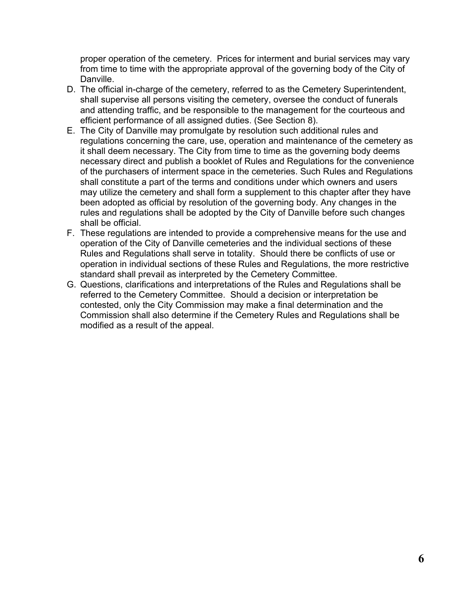proper operation of the cemetery. Prices for interment and burial services may vary from time to time with the appropriate approval of the governing body of the City of Danville.

- D. The official in-charge of the cemetery, referred to as the Cemetery Superintendent, shall supervise all persons visiting the cemetery, oversee the conduct of funerals and attending traffic, and be responsible to the management for the courteous and efficient performance of all assigned duties. (See Section 8).
- E. The City of Danville may promulgate by resolution such additional rules and regulations concerning the care, use, operation and maintenance of the cemetery as it shall deem necessary. The City from time to time as the governing body deems necessary direct and publish a booklet of Rules and Regulations for the convenience of the purchasers of interment space in the cemeteries. Such Rules and Regulations shall constitute a part of the terms and conditions under which owners and users may utilize the cemetery and shall form a supplement to this chapter after they have been adopted as official by resolution of the governing body. Any changes in the rules and regulations shall be adopted by the City of Danville before such changes shall be official.
- F. These regulations are intended to provide a comprehensive means for the use and operation of the City of Danville cemeteries and the individual sections of these Rules and Regulations shall serve in totality. Should there be conflicts of use or operation in individual sections of these Rules and Regulations, the more restrictive standard shall prevail as interpreted by the Cemetery Committee.
- G. Questions, clarifications and interpretations of the Rules and Regulations shall be referred to the Cemetery Committee. Should a decision or interpretation be contested, only the City Commission may make a final determination and the Commission shall also determine if the Cemetery Rules and Regulations shall be modified as a result of the appeal.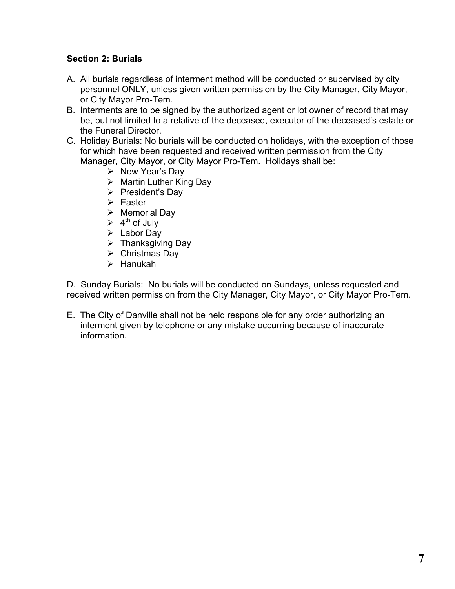#### **Section 2: Burials**

- A. All burials regardless of interment method will be conducted or supervised by city personnel ONLY, unless given written permission by the City Manager, City Mayor, or City Mayor Pro-Tem.
- B. Interments are to be signed by the authorized agent or lot owner of record that may be, but not limited to a relative of the deceased, executor of the deceased's estate or the Funeral Director.
- C. Holiday Burials: No burials will be conducted on holidays, with the exception of those for which have been requested and received written permission from the City Manager, City Mayor, or City Mayor Pro-Tem. Holidays shall be:
	- $\triangleright$  New Year's Day
	- $\triangleright$  Martin Luther King Day
	- $\triangleright$  President's Day
	- $\triangleright$  Easter
	- $\triangleright$  Memorial Day
	- $\triangleright$  4<sup>th</sup> of July
	- $\triangleright$  Labor Day
	- $\triangleright$  Thanksgiving Day
	- $\triangleright$  Christmas Day
	- $\triangleright$  Hanukah

D. Sunday Burials: No burials will be conducted on Sundays, unless requested and received written permission from the City Manager, City Mayor, or City Mayor Pro-Tem.

E. The City of Danville shall not be held responsible for any order authorizing an interment given by telephone or any mistake occurring because of inaccurate information.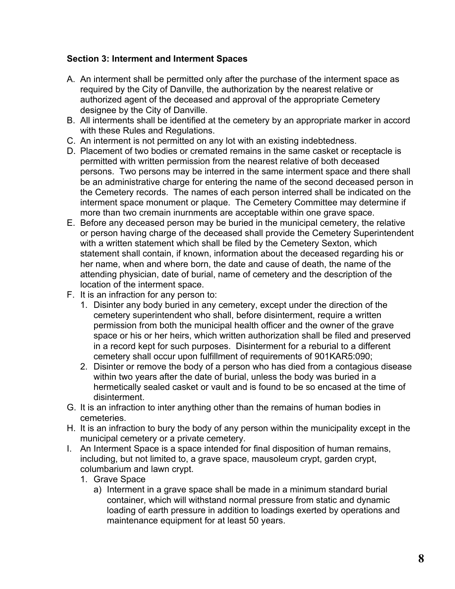#### **Section 3: Interment and Interment Spaces**

- A. An interment shall be permitted only after the purchase of the interment space as required by the City of Danville, the authorization by the nearest relative or authorized agent of the deceased and approval of the appropriate Cemetery designee by the City of Danville.
- B. All interments shall be identified at the cemetery by an appropriate marker in accord with these Rules and Regulations.
- C. An interment is not permitted on any lot with an existing indebtedness.
- D. Placement of two bodies or cremated remains in the same casket or receptacle is permitted with written permission from the nearest relative of both deceased persons. Two persons may be interred in the same interment space and there shall be an administrative charge for entering the name of the second deceased person in the Cemetery records. The names of each person interred shall be indicated on the interment space monument or plaque. The Cemetery Committee may determine if more than two cremain inurnments are acceptable within one grave space.
- E. Before any deceased person may be buried in the municipal cemetery, the relative or person having charge of the deceased shall provide the Cemetery Superintendent with a written statement which shall be filed by the Cemetery Sexton, which statement shall contain, if known, information about the deceased regarding his or her name, when and where born, the date and cause of death, the name of the attending physician, date of burial, name of cemetery and the description of the location of the interment space.
- F. It is an infraction for any person to:
	- 1. Disinter any body buried in any cemetery, except under the direction of the cemetery superintendent who shall, before disinterment, require a written permission from both the municipal health officer and the owner of the grave space or his or her heirs, which written authorization shall be filed and preserved in a record kept for such purposes. Disinterment for a reburial to a different cemetery shall occur upon fulfillment of requirements of 901KAR5:090;
	- 2. Disinter or remove the body of a person who has died from a contagious disease within two years after the date of burial, unless the body was buried in a hermetically sealed casket or vault and is found to be so encased at the time of disinterment.
- G. It is an infraction to inter anything other than the remains of human bodies in cemeteries.
- H. It is an infraction to bury the body of any person within the municipality except in the municipal cemetery or a private cemetery.
- I. An Interment Space is a space intended for final disposition of human remains, including, but not limited to, a grave space, mausoleum crypt, garden crypt, columbarium and lawn crypt.
	- 1. Grave Space
		- a) Interment in a grave space shall be made in a minimum standard burial container, which will withstand normal pressure from static and dynamic loading of earth pressure in addition to loadings exerted by operations and maintenance equipment for at least 50 years.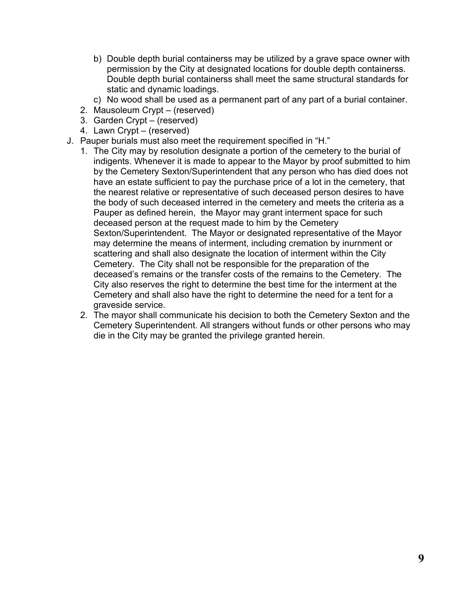- b) Double depth burial containerss may be utilized by a grave space owner with permission by the City at designated locations for double depth containerss. Double depth burial containerss shall meet the same structural standards for static and dynamic loadings.
- c) No wood shall be used as a permanent part of any part of a burial container.
- 2. Mausoleum Crypt (reserved)
- 3. Garden Crypt (reserved)
- 4. Lawn Crypt (reserved)
- J. Pauper burials must also meet the requirement specified in "H."
	- 1. The City may by resolution designate a portion of the cemetery to the burial of indigents. Whenever it is made to appear to the Mayor by proof submitted to him by the Cemetery Sexton/Superintendent that any person who has died does not have an estate sufficient to pay the purchase price of a lot in the cemetery, that the nearest relative or representative of such deceased person desires to have the body of such deceased interred in the cemetery and meets the criteria as a Pauper as defined herein, the Mayor may grant interment space for such deceased person at the request made to him by the Cemetery Sexton/Superintendent. The Mayor or designated representative of the Mayor may determine the means of interment, including cremation by inurnment or scattering and shall also designate the location of interment within the City Cemetery. The City shall not be responsible for the preparation of the deceased's remains or the transfer costs of the remains to the Cemetery. The City also reserves the right to determine the best time for the interment at the Cemetery and shall also have the right to determine the need for a tent for a graveside service.
	- 2. The mayor shall communicate his decision to both the Cemetery Sexton and the Cemetery Superintendent. All strangers without funds or other persons who may die in the City may be granted the privilege granted herein.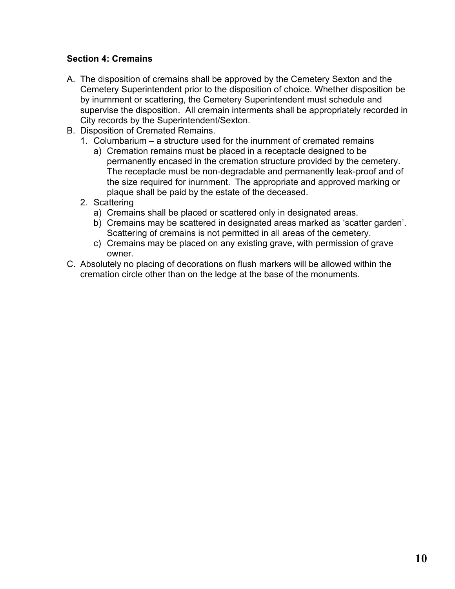#### **Section 4: Cremains**

- A. The disposition of cremains shall be approved by the Cemetery Sexton and the Cemetery Superintendent prior to the disposition of choice. Whether disposition be by inurnment or scattering, the Cemetery Superintendent must schedule and supervise the disposition. All cremain interments shall be appropriately recorded in City records by the Superintendent/Sexton.
- B. Disposition of Cremated Remains.
	- 1. Columbarium a structure used for the inurnment of cremated remains
		- a) Cremation remains must be placed in a receptacle designed to be permanently encased in the cremation structure provided by the cemetery. The receptacle must be non-degradable and permanently leak-proof and of the size required for inurnment. The appropriate and approved marking or plaque shall be paid by the estate of the deceased.
	- 2. Scattering
		- a) Cremains shall be placed or scattered only in designated areas.
		- b) Cremains may be scattered in designated areas marked as 'scatter garden'. Scattering of cremains is not permitted in all areas of the cemetery.
		- c) Cremains may be placed on any existing grave, with permission of grave owner.
- C. Absolutely no placing of decorations on flush markers will be allowed within the cremation circle other than on the ledge at the base of the monuments.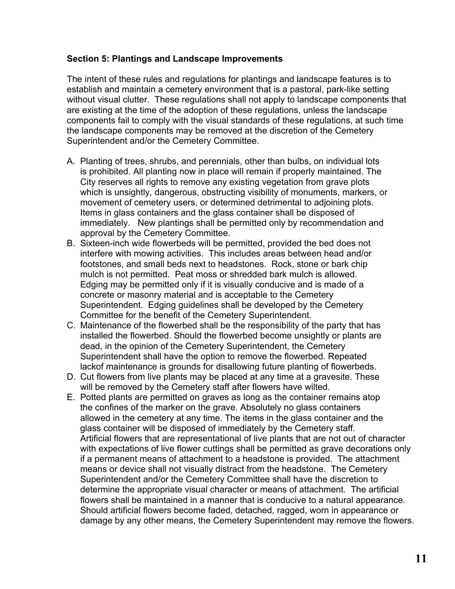#### **Section 5: Plantings and Landscape Improvements**

The intent of these rules and regulations for plantings and landscape features is to establish and maintain a cemetery environment that is a pastoral, park-like setting without visual clutter. These regulations shall not apply to landscape components that are existing at the time of the adoption of these regulations, unless the landscape components fail to comply with the visual standards of these regulations, at such time the landscape components may be removed at the discretion of the Cemetery Superintendent and/or the Cemetery Committee.

- A. Planting of trees, shrubs, and perennials, other than bulbs, on individual lots is prohibited. All planting now in place will remain if properly maintained. The City reserves all rights to remove any existing vegetation from grave plots which is unsightly, dangerous, obstructing visibility of monuments, markers, or movement of cemetery users, or determined detrimental to adjoining plots. Items in glass containers and the glass container shall be disposed of immediately. New plantings shall be permitted only by recommendation and approval by the Cemetery Committee.
- B. Sixteen-inch wide flowerbeds will be permitted, provided the bed does not interfere with mowing activities. This includes areas between head and/or footstones, and small beds next to headstones. Rock, stone or bark chip mulch is not permitted. Peat moss or shredded bark mulch is allowed. Edging may be permitted only if it is visually conducive and is made of a concrete or masonry material and is acceptable to the Cemetery Superintendent. Edging guidelines shall be developed by the Cemetery Committee for the benefit of the Cemetery Superintendent.
- C. Maintenance of the flowerbed shall be the responsibility of the party that has installed the flowerbed. Should the flowerbed become unsightly or plants are dead, in the opinion of the Cemetery Superintendent, the Cemetery Superintendent shall have the option to remove the flowerbed. Repeated lackof maintenance is grounds for disallowing future planting of flowerbeds.
- D. Cut flowers from live plants may be placed at any time at a gravesite. These will be removed by the Cemetery staff after flowers have wilted.
- E. Potted plants are permitted on graves as long as the container remains atop the confines of the marker on the grave. Absolutely no glass containers allowed in the cemetery at any time. The items in the glass container and the glass container will be disposed of immediately by the Cemetery staff. Artificial flowers that are representational of live plants that are not out of character with expectations of live flower cuttings shall be permitted as grave decorations only if a permanent means of attachment to a headstone is provided. The attachment means or device shall not visually distract from the headstone. The Cemetery Superintendent and/or the Cemetery Committee shall have the discretion to determine the appropriate visual character or means of attachment. The artificial flowers shall be maintained in a manner that is conducive to a natural appearance. Should artificial flowers become faded, detached, ragged, worn in appearance or damage by any other means, the Cemetery Superintendent may remove the flowers.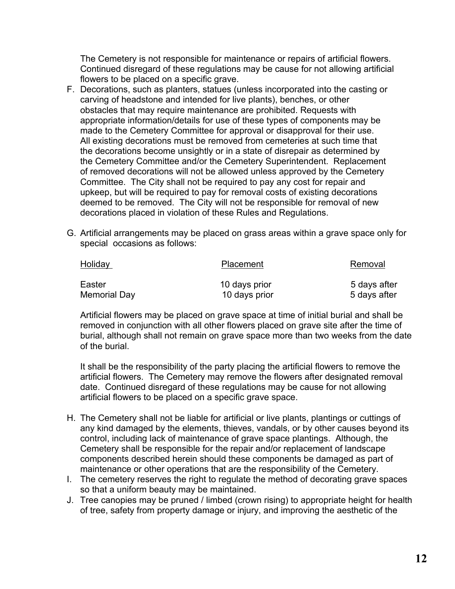The Cemetery is not responsible for maintenance or repairs of artificial flowers. Continued disregard of these regulations may be cause for not allowing artificial flowers to be placed on a specific grave.

- F. Decorations, such as planters, statues (unless incorporated into the casting or carving of headstone and intended for live plants), benches, or other obstacles that may require maintenance are prohibited. Requests with appropriate information/details for use of these types of components may be made to the Cemetery Committee for approval or disapproval for their use. All existing decorations must be removed from cemeteries at such time that the decorations become unsightly or in a state of disrepair as determined by the Cemetery Committee and/or the Cemetery Superintendent. Replacement of removed decorations will not be allowed unless approved by the Cemetery Committee. The City shall not be required to pay any cost for repair and upkeep, but will be required to pay for removal costs of existing decorations deemed to be removed. The City will not be responsible for removal of new decorations placed in violation of these Rules and Regulations.
- G. Artificial arrangements may be placed on grass areas within a grave space only for special occasions as follows:

| <b>Holiday</b> | Placement     | Removal      |
|----------------|---------------|--------------|
| Easter         | 10 days prior | 5 days after |
| Memorial Day   | 10 days prior | 5 days after |

Artificial flowers may be placed on grave space at time of initial burial and shall be removed in conjunction with all other flowers placed on grave site after the time of burial, although shall not remain on grave space more than two weeks from the date of the burial.

It shall be the responsibility of the party placing the artificial flowers to remove the artificial flowers. The Cemetery may remove the flowers after designated removal date. Continued disregard of these regulations may be cause for not allowing artificial flowers to be placed on a specific grave space.

- H. The Cemetery shall not be liable for artificial or live plants, plantings or cuttings of any kind damaged by the elements, thieves, vandals, or by other causes beyond its control, including lack of maintenance of grave space plantings. Although, the Cemetery shall be responsible for the repair and/or replacement of landscape components described herein should these components be damaged as part of maintenance or other operations that are the responsibility of the Cemetery.
- I. The cemetery reserves the right to regulate the method of decorating grave spaces so that a uniform beauty may be maintained.
- J. Tree canopies may be pruned / limbed (crown rising) to appropriate height for health of tree, safety from property damage or injury, and improving the aesthetic of the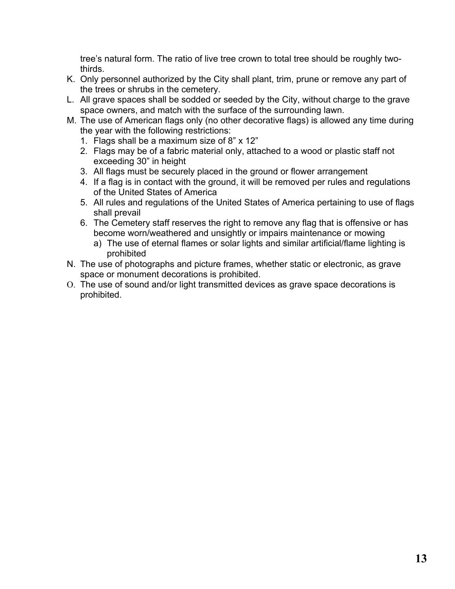tree's natural form. The ratio of live tree crown to total tree should be roughly twothirds.

- K. Only personnel authorized by the City shall plant, trim, prune or remove any part of the trees or shrubs in the cemetery.
- L. All grave spaces shall be sodded or seeded by the City, without charge to the grave space owners, and match with the surface of the surrounding lawn.
- M. The use of American flags only (no other decorative flags) is allowed any time during the year with the following restrictions:
	- 1. Flags shall be a maximum size of 8" x 12"
	- 2. Flags may be of a fabric material only, attached to a wood or plastic staff not exceeding 30" in height
	- 3. All flags must be securely placed in the ground or flower arrangement
	- 4. If a flag is in contact with the ground, it will be removed per rules and regulations of the United States of America
	- 5. All rules and regulations of the United States of America pertaining to use of flags shall prevail
	- 6. The Cemetery staff reserves the right to remove any flag that is offensive or has become worn/weathered and unsightly or impairs maintenance or mowing
		- a) The use of eternal flames or solar lights and similar artificial/flame lighting is prohibited
- N. The use of photographs and picture frames, whether static or electronic, as grave space or monument decorations is prohibited.
- O. The use of sound and/or light transmitted devices as grave space decorations is prohibited.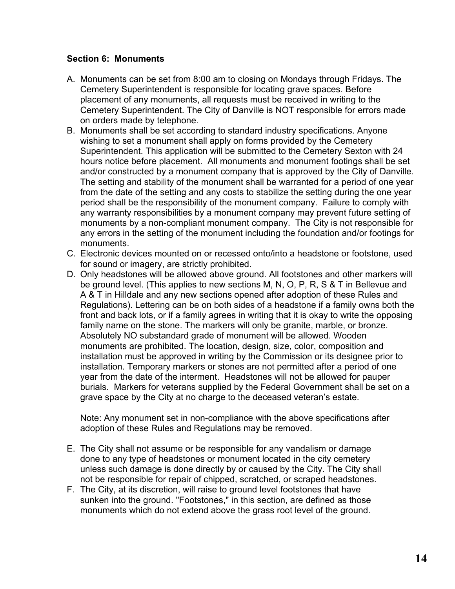#### **Section 6: Monuments**

- A. Monuments can be set from 8:00 am to closing on Mondays through Fridays. The Cemetery Superintendent is responsible for locating grave spaces. Before placement of any monuments, all requests must be received in writing to the Cemetery Superintendent. The City of Danville is NOT responsible for errors made on orders made by telephone.
- B. Monuments shall be set according to standard industry specifications. Anyone wishing to set a monument shall apply on forms provided by the Cemetery Superintendent. This application will be submitted to the Cemetery Sexton with 24 hours notice before placement. All monuments and monument footings shall be set and/or constructed by a monument company that is approved by the City of Danville. The setting and stability of the monument shall be warranted for a period of one year from the date of the setting and any costs to stabilize the setting during the one year period shall be the responsibility of the monument company. Failure to comply with any warranty responsibilities by a monument company may prevent future setting of monuments by a non-compliant monument company. The City is not responsible for any errors in the setting of the monument including the foundation and/or footings for monuments.
- C. Electronic devices mounted on or recessed onto/into a headstone or footstone, used for sound or imagery, are strictly prohibited.
- D. Only headstones will be allowed above ground. All footstones and other markers will be ground level. (This applies to new sections M, N, O, P, R, S & T in Bellevue and A & T in Hilldale and any new sections opened after adoption of these Rules and Regulations). Lettering can be on both sides of a headstone if a family owns both the front and back lots, or if a family agrees in writing that it is okay to write the opposing family name on the stone. The markers will only be granite, marble, or bronze. Absolutely NO substandard grade of monument will be allowed. Wooden monuments are prohibited. The location, design, size, color, composition and installation must be approved in writing by the Commission or its designee prior to installation. Temporary markers or stones are not permitted after a period of one year from the date of the interment. Headstones will not be allowed for pauper burials. Markers for veterans supplied by the Federal Government shall be set on a grave space by the City at no charge to the deceased veteran's estate.

Note: Any monument set in non-compliance with the above specifications after adoption of these Rules and Regulations may be removed.

- E. The City shall not assume or be responsible for any vandalism or damage done to any type of headstones or monument located in the city cemetery unless such damage is done directly by or caused by the City. The City shall not be responsible for repair of chipped, scratched, or scraped headstones.
- F. The City, at its discretion, will raise to ground level footstones that have sunken into the ground. "Footstones," in this section, are defined as those monuments which do not extend above the grass root level of the ground.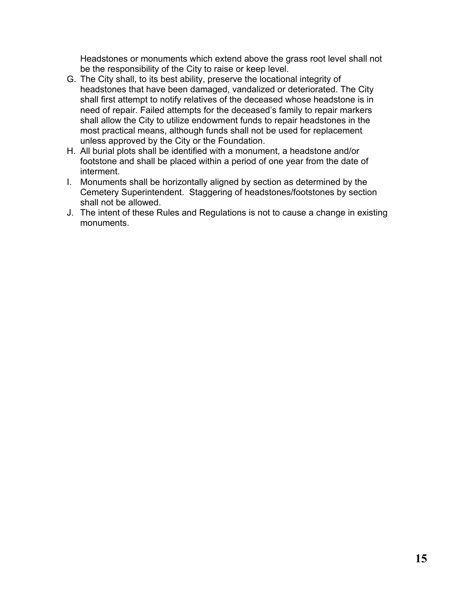Headstones or monuments which extend above the grass root level shall not be the responsibility of the City to raise or keep level.

- G. The City shall, to its best ability, preserve the locational integrity of headstones that have been damaged, vandalized or deteriorated. The City shall first attempt to notify relatives of the deceased whose headstone is in need of repair. Failed attempts for the deceased's family to repair markers shall allow the City to utilize endowment funds to repair headstones in the most practical means, although funds shall not be used for replacement unless approved by the City or the Foundation.
- H. All burial plots shall be identified with a monument, a headstone and/or footstone and shall be placed within a period of one year from the date of interment.
- I. Monuments shall be horizontally aligned by section as determined by the Cemetery Superintendent. Staggering of headstones/footstones by section shall not be allowed.
- J. The intent of these Rules and Regulations is not to cause a change in existing monuments.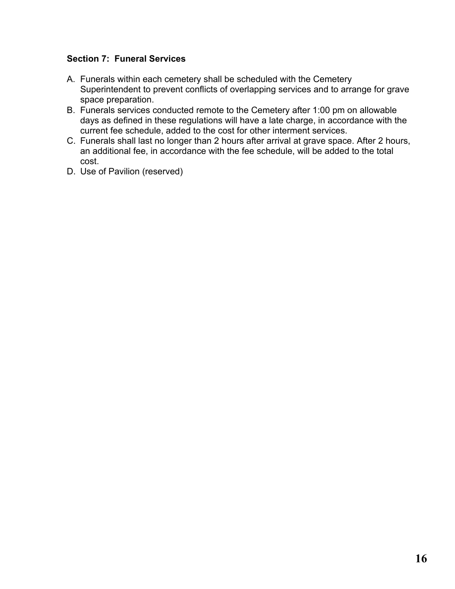#### **Section 7: Funeral Services**

- A. Funerals within each cemetery shall be scheduled with the Cemetery Superintendent to prevent conflicts of overlapping services and to arrange for grave space preparation.
- B. Funerals services conducted remote to the Cemetery after 1:00 pm on allowable days as defined in these regulations will have a late charge, in accordance with the current fee schedule, added to the cost for other interment services.
- C. Funerals shall last no longer than 2 hours after arrival at grave space. After 2 hours, an additional fee, in accordance with the fee schedule, will be added to the total cost.
- D. Use of Pavilion (reserved)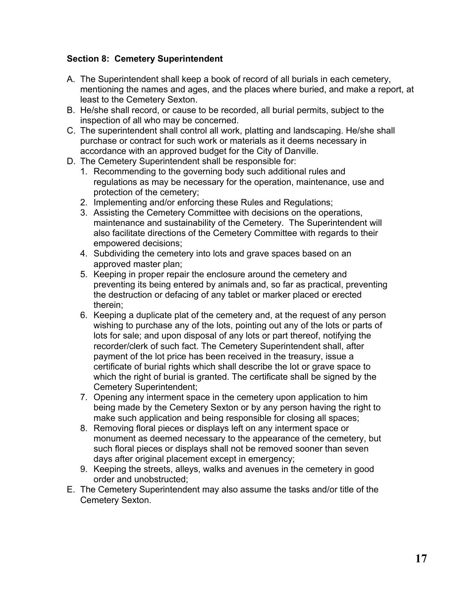#### **Section 8: Cemetery Superintendent**

- A. The Superintendent shall keep a book of record of all burials in each cemetery, mentioning the names and ages, and the places where buried, and make a report, at least to the Cemetery Sexton.
- B. He/she shall record, or cause to be recorded, all burial permits, subject to the inspection of all who may be concerned.
- C. The superintendent shall control all work, platting and landscaping. He/she shall purchase or contract for such work or materials as it deems necessary in accordance with an approved budget for the City of Danville.
- D. The Cemetery Superintendent shall be responsible for:
	- 1. Recommending to the governing body such additional rules and regulations as may be necessary for the operation, maintenance, use and protection of the cemetery;
	- 2. Implementing and/or enforcing these Rules and Regulations;
	- 3. Assisting the Cemetery Committee with decisions on the operations, maintenance and sustainability of the Cemetery. The Superintendent will also facilitate directions of the Cemetery Committee with regards to their empowered decisions;
	- 4. Subdividing the cemetery into lots and grave spaces based on an approved master plan;
	- 5. Keeping in proper repair the enclosure around the cemetery and preventing its being entered by animals and, so far as practical, preventing the destruction or defacing of any tablet or marker placed or erected therein;
	- 6. Keeping a duplicate plat of the cemetery and, at the request of any person wishing to purchase any of the lots, pointing out any of the lots or parts of lots for sale; and upon disposal of any lots or part thereof, notifying the recorder/clerk of such fact. The Cemetery Superintendent shall, after payment of the lot price has been received in the treasury, issue a certificate of burial rights which shall describe the lot or grave space to which the right of burial is granted. The certificate shall be signed by the Cemetery Superintendent;
	- 7. Opening any interment space in the cemetery upon application to him being made by the Cemetery Sexton or by any person having the right to make such application and being responsible for closing all spaces;
	- 8. Removing floral pieces or displays left on any interment space or monument as deemed necessary to the appearance of the cemetery, but such floral pieces or displays shall not be removed sooner than seven days after original placement except in emergency;
	- 9. Keeping the streets, alleys, walks and avenues in the cemetery in good order and unobstructed;
- E. The Cemetery Superintendent may also assume the tasks and/or title of the Cemetery Sexton.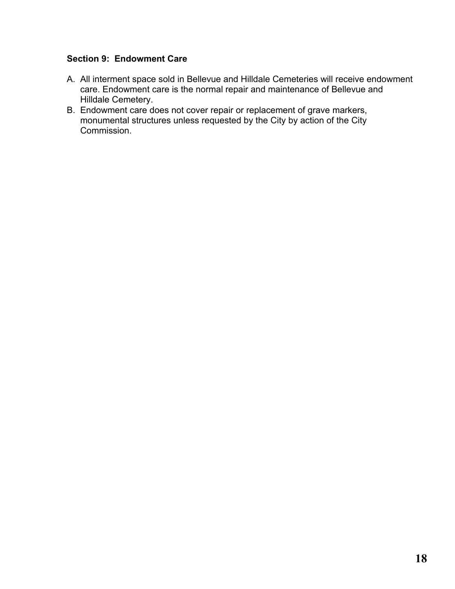#### **Section 9: Endowment Care**

- A. All interment space sold in Bellevue and Hilldale Cemeteries will receive endowment care. Endowment care is the normal repair and maintenance of Bellevue and Hilldale Cemetery.
- B. Endowment care does not cover repair or replacement of grave markers, monumental structures unless requested by the City by action of the City Commission.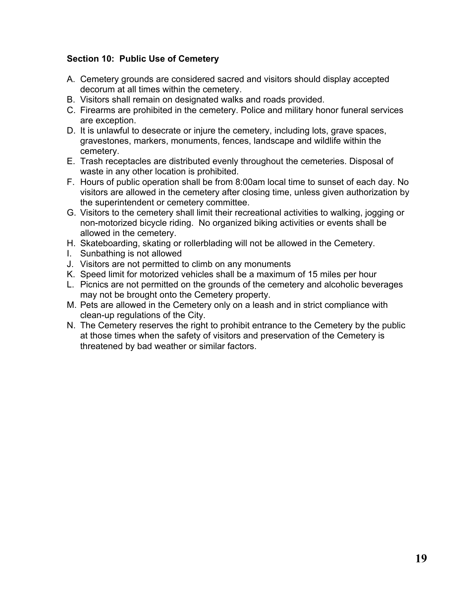#### **Section 10: Public Use of Cemetery**

- A. Cemetery grounds are considered sacred and visitors should display accepted decorum at all times within the cemetery.
- B. Visitors shall remain on designated walks and roads provided.
- C. Firearms are prohibited in the cemetery. Police and military honor funeral services are exception.
- D. It is unlawful to desecrate or injure the cemetery, including lots, grave spaces, gravestones, markers, monuments, fences, landscape and wildlife within the cemetery.
- E. Trash receptacles are distributed evenly throughout the cemeteries. Disposal of waste in any other location is prohibited.
- F. Hours of public operation shall be from 8:00am local time to sunset of each day. No visitors are allowed in the cemetery after closing time, unless given authorization by the superintendent or cemetery committee.
- G. Visitors to the cemetery shall limit their recreational activities to walking, jogging or non-motorized bicycle riding. No organized biking activities or events shall be allowed in the cemetery.
- H. Skateboarding, skating or rollerblading will not be allowed in the Cemetery.
- I. Sunbathing is not allowed
- J. Visitors are not permitted to climb on any monuments
- K. Speed limit for motorized vehicles shall be a maximum of 15 miles per hour
- L. Picnics are not permitted on the grounds of the cemetery and alcoholic beverages may not be brought onto the Cemetery property.
- M. Pets are allowed in the Cemetery only on a leash and in strict compliance with clean-up regulations of the City.
- N. The Cemetery reserves the right to prohibit entrance to the Cemetery by the public at those times when the safety of visitors and preservation of the Cemetery is threatened by bad weather or similar factors.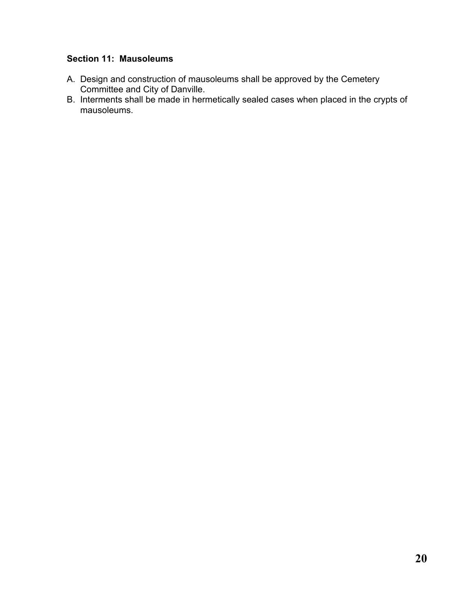#### **Section 11: Mausoleums**

- A. Design and construction of mausoleums shall be approved by the Cemetery Committee and City of Danville.
- B. Interments shall be made in hermetically sealed cases when placed in the crypts of mausoleums.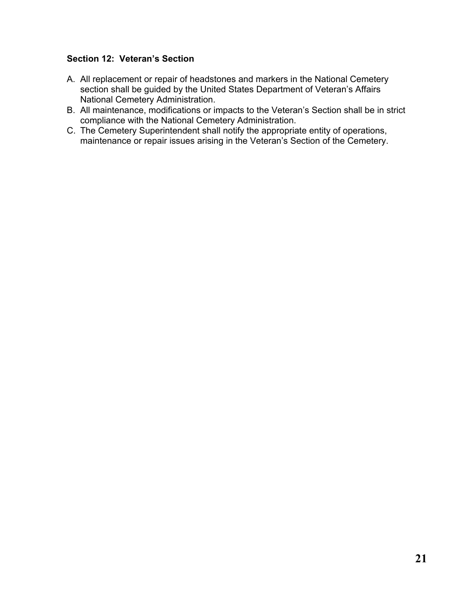#### **Section 12: Veteran's Section**

- A. All replacement or repair of headstones and markers in the National Cemetery section shall be guided by the United States Department of Veteran's Affairs National Cemetery Administration.
- B. All maintenance, modifications or impacts to the Veteran's Section shall be in strict compliance with the National Cemetery Administration.
- C. The Cemetery Superintendent shall notify the appropriate entity of operations, maintenance or repair issues arising in the Veteran's Section of the Cemetery.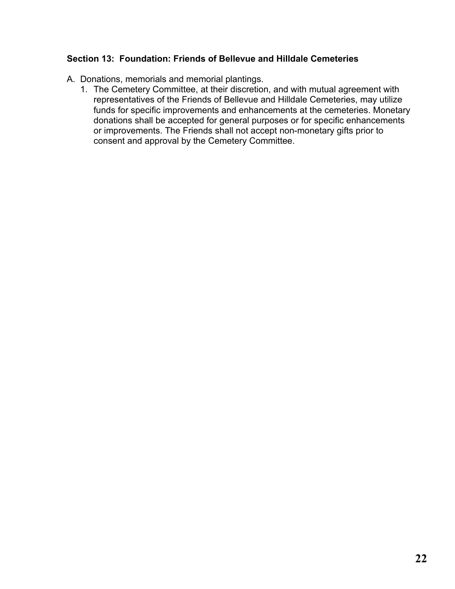#### **Section 13: Foundation: Friends of Bellevue and Hilldale Cemeteries**

- A. Donations, memorials and memorial plantings.
	- 1. The Cemetery Committee, at their discretion, and with mutual agreement with representatives of the Friends of Bellevue and Hilldale Cemeteries, may utilize funds for specific improvements and enhancements at the cemeteries. Monetary donations shall be accepted for general purposes or for specific enhancements or improvements. The Friends shall not accept non-monetary gifts prior to consent and approval by the Cemetery Committee.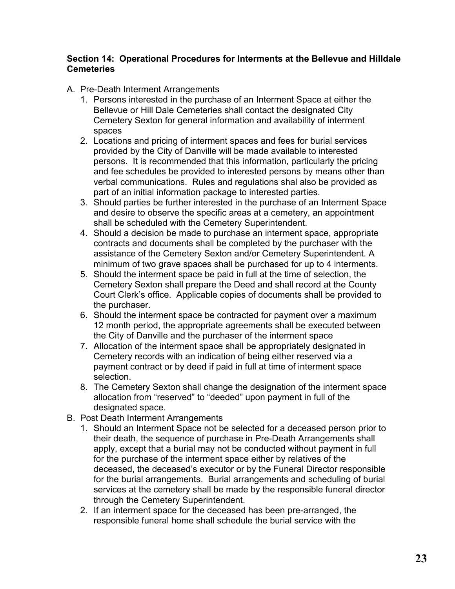#### **Section 14: Operational Procedures for Interments at the Bellevue and Hilldale Cemeteries**

- A. Pre-Death Interment Arrangements
	- 1. Persons interested in the purchase of an Interment Space at either the Bellevue or Hill Dale Cemeteries shall contact the designated City Cemetery Sexton for general information and availability of interment spaces
	- 2. Locations and pricing of interment spaces and fees for burial services provided by the City of Danville will be made available to interested persons. It is recommended that this information, particularly the pricing and fee schedules be provided to interested persons by means other than verbal communications. Rules and regulations shal also be provided as part of an initial information package to interested parties.
	- 3. Should parties be further interested in the purchase of an Interment Space and desire to observe the specific areas at a cemetery, an appointment shall be scheduled with the Cemetery Superintendent.
	- 4. Should a decision be made to purchase an interment space, appropriate contracts and documents shall be completed by the purchaser with the assistance of the Cemetery Sexton and/or Cemetery Superintendent. A minimum of two grave spaces shall be purchased for up to 4 interments.
	- 5. Should the interment space be paid in full at the time of selection, the Cemetery Sexton shall prepare the Deed and shall record at the County Court Clerk's office. Applicable copies of documents shall be provided to the purchaser.
	- 6. Should the interment space be contracted for payment over a maximum 12 month period, the appropriate agreements shall be executed between the City of Danville and the purchaser of the interment space
	- 7. Allocation of the interment space shall be appropriately designated in Cemetery records with an indication of being either reserved via a payment contract or by deed if paid in full at time of interment space selection.
	- 8. The Cemetery Sexton shall change the designation of the interment space allocation from "reserved" to "deeded" upon payment in full of the designated space.
- B. Post Death Interment Arrangements
	- 1. Should an Interment Space not be selected for a deceased person prior to their death, the sequence of purchase in Pre-Death Arrangements shall apply, except that a burial may not be conducted without payment in full for the purchase of the interment space either by relatives of the deceased, the deceased's executor or by the Funeral Director responsible for the burial arrangements. Burial arrangements and scheduling of burial services at the cemetery shall be made by the responsible funeral director through the Cemetery Superintendent.
	- 2. If an interment space for the deceased has been pre-arranged, the responsible funeral home shall schedule the burial service with the